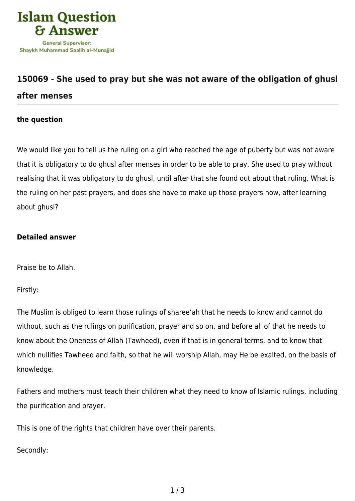

## **[150069 - She used to pray but she was not aware of the obligation of ghusl](https://islamqa.com/en/answers/150069/she-used-to-pray-but-she-was-not-aware-of-the-obligation-of-ghusl-after-menses) [after menses](https://islamqa.com/en/answers/150069/she-used-to-pray-but-she-was-not-aware-of-the-obligation-of-ghusl-after-menses)**

## **the question**

We would like you to tell us the ruling on a girl who reached the age of puberty but was not aware that it is obligatory to do ghusl after menses in order to be able to pray. She used to pray without realising that it was obligatory to do ghusl, until after that she found out about that ruling. What is the ruling on her past prayers, and does she have to make up those prayers now, after learning about ghusl?

## **Detailed answer**

Praise be to Allah.

Firstly:

The Muslim is obliged to learn those rulings of sharee'ah that he needs to know and cannot do without, such as the rulings on purification, prayer and so on, and before all of that he needs to know about the Oneness of Allah (Tawheed), even if that is in general terms, and to know that which nullifies Tawheed and faith, so that he will worship Allah, may He be exalted, on the basis of knowledge.

Fathers and mothers must teach their children what they need to know of Islamic rulings, including the purification and prayer.

This is one of the rights that children have over their parents.

Secondly: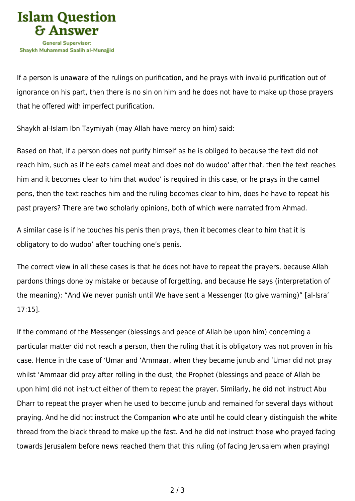

If a person is unaware of the rulings on purification, and he prays with invalid purification out of ignorance on his part, then there is no sin on him and he does not have to make up those prayers that he offered with imperfect purification.

Shaykh al-Islam Ibn Taymiyah (may Allah have mercy on him) said:

Based on that, if a person does not purify himself as he is obliged to because the text did not reach him, such as if he eats camel meat and does not do wudoo' after that, then the text reaches him and it becomes clear to him that wudoo' is required in this case, or he prays in the camel pens, then the text reaches him and the ruling becomes clear to him, does he have to repeat his past prayers? There are two scholarly opinions, both of which were narrated from Ahmad.

A similar case is if he touches his penis then prays, then it becomes clear to him that it is obligatory to do wudoo' after touching one's penis.

The correct view in all these cases is that he does not have to repeat the prayers, because Allah pardons things done by mistake or because of forgetting, and because He says (interpretation of the meaning): "And We never punish until We have sent a Messenger (to give warning)" [al-Isra' 17:15].

If the command of the Messenger (blessings and peace of Allah be upon him) concerning a particular matter did not reach a person, then the ruling that it is obligatory was not proven in his case. Hence in the case of 'Umar and 'Ammaar, when they became junub and 'Umar did not pray whilst 'Ammaar did pray after rolling in the dust, the Prophet (blessings and peace of Allah be upon him) did not instruct either of them to repeat the prayer. Similarly, he did not instruct Abu Dharr to repeat the prayer when he used to become junub and remained for several days without praying. And he did not instruct the Companion who ate until he could clearly distinguish the white thread from the black thread to make up the fast. And he did not instruct those who prayed facing towards Jerusalem before news reached them that this ruling (of facing Jerusalem when praying)